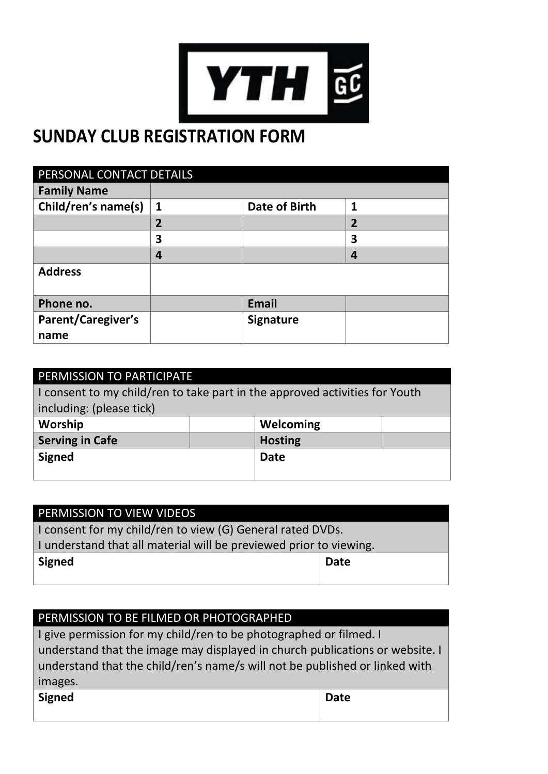

## **SUNDAY CLUB REGISTRATION FORM**

| PERSONAL CONTACT DETAILS |                |                      |                |
|--------------------------|----------------|----------------------|----------------|
| <b>Family Name</b>       |                |                      |                |
| Child/ren's name(s)      | $\mathbf{1}$   | <b>Date of Birth</b> | 1              |
|                          | $\overline{2}$ |                      | $\overline{2}$ |
|                          | 3              |                      | 3              |
|                          | 4              |                      | 4              |
| <b>Address</b>           |                |                      |                |
| Phone no.                |                | <b>Email</b>         |                |
| Parent/Caregiver's       |                | <b>Signature</b>     |                |
| name                     |                |                      |                |

| PERMISSION TO PARTICIPATE                                                   |  |                |  |
|-----------------------------------------------------------------------------|--|----------------|--|
| I consent to my child/ren to take part in the approved activities for Youth |  |                |  |
| including: (please tick)                                                    |  |                |  |
| Worship                                                                     |  | Welcoming      |  |
| <b>Serving in Cafe</b>                                                      |  | <b>Hosting</b> |  |
| <b>Signed</b>                                                               |  | <b>Date</b>    |  |
|                                                                             |  |                |  |

| PERMISSION TO VIEW VIDEOS                                          |             |  |
|--------------------------------------------------------------------|-------------|--|
| I consent for my child/ren to view (G) General rated DVDs.         |             |  |
| I understand that all material will be previewed prior to viewing. |             |  |
| <b>Signed</b>                                                      | <b>Date</b> |  |
|                                                                    |             |  |

| PERMISSION TO BE FILMED OR PHOTOGRAPHED                                      |             |  |
|------------------------------------------------------------------------------|-------------|--|
| I give permission for my child/ren to be photographed or filmed. I           |             |  |
| understand that the image may displayed in church publications or website. I |             |  |
| understand that the child/ren's name/s will not be published or linked with  |             |  |
| images.                                                                      |             |  |
| <b>Signed</b>                                                                | <b>Date</b> |  |
|                                                                              |             |  |